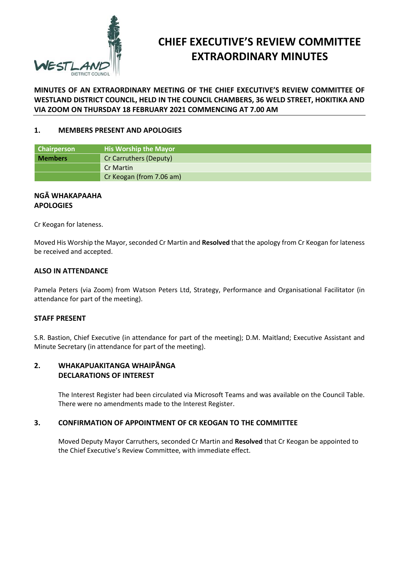

# **CHIEF EXECUTIVE'S REVIEW COMMITTEE EXTRAORDINARY MINUTES**

#### **MINUTES OF AN EXTRAORDINARY MEETING OF THE CHIEF EXECUTIVE'S REVIEW COMMITTEE OF WESTLAND DISTRICT COUNCIL, HELD IN THE COUNCIL CHAMBERS, 36 WELD STREET, HOKITIKA AND VIA ZOOM ON THURSDAY 18 FEBRUARY 2021 COMMENCING AT 7.00 AM**

#### **1. MEMBERS PRESENT AND APOLOGIES**

| <b>Chairperson</b> | <b>His Worship the Mayor</b> |  |
|--------------------|------------------------------|--|
| <b>Members</b>     | Cr Carruthers (Deputy)       |  |
|                    | <b>Cr Martin</b>             |  |
|                    | Cr Keogan (from 7.06 am)     |  |

#### **NGĀ WHAKAPAAHA APOLOGIES**

Cr Keogan for lateness.

Moved His Worship the Mayor, seconded Cr Martin and **Resolved** that the apology from Cr Keogan for lateness be received and accepted.

#### **ALSO IN ATTENDANCE**

Pamela Peters (via Zoom) from Watson Peters Ltd, Strategy, Performance and Organisational Facilitator (in attendance for part of the meeting).

#### **STAFF PRESENT**

S.R. Bastion, Chief Executive (in attendance for part of the meeting); D.M. Maitland; Executive Assistant and Minute Secretary (in attendance for part of the meeting).

#### **2. WHAKAPUAKITANGA WHAIPĀNGA DECLARATIONS OF INTEREST**

The Interest Register had been circulated via Microsoft Teams and was available on the Council Table. There were no amendments made to the Interest Register.

#### **3. CONFIRMATION OF APPOINTMENT OF CR KEOGAN TO THE COMMITTEE**

Moved Deputy Mayor Carruthers, seconded Cr Martin and **Resolved** that Cr Keogan be appointed to the Chief Executive's Review Committee, with immediate effect.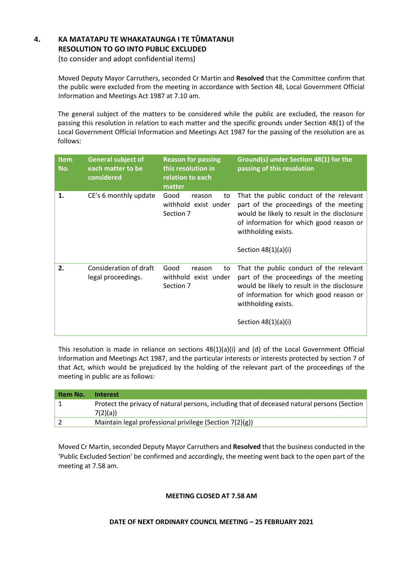## **4. KA MATATAPU TE WHAKATAUNGA I TE TŪMATANUI RESOLUTION TO GO INTO PUBLIC EXCLUDED**

(to consider and adopt confidential items)

Moved Deputy Mayor Carruthers, seconded Cr Martin and **Resolved** that the Committee confirm that the public were excluded from the meeting in accordance with Section 48, Local Government Official Information and Meetings Act 1987 at 7.10 am.

The general subject of the matters to be considered while the public are excluded, the reason for passing this resolution in relation to each matter and the specific grounds under Section 48(1) of the Local Government Official Information and Meetings Act 1987 for the passing of the resolution are as follows:

| <b>Item</b><br>No. | <b>General subject of</b><br>each matter to be<br>considered | <b>Reason for passing</b><br>this resolution in<br>relation to each<br>matter | Ground(s) under Section 48(1) for the<br>passing of this resolution                                                                                                                                                         |
|--------------------|--------------------------------------------------------------|-------------------------------------------------------------------------------|-----------------------------------------------------------------------------------------------------------------------------------------------------------------------------------------------------------------------------|
| 1.                 | CE's 6 monthly update                                        | Good<br>reason<br>to<br>withhold exist under<br>Section 7                     | That the public conduct of the relevant<br>part of the proceedings of the meeting<br>would be likely to result in the disclosure<br>of information for which good reason or<br>withholding exists.<br>Section $48(1)(a)(i)$ |
| 2.                 | Consideration of draft<br>legal proceedings.                 | Good<br>reason<br>to<br>withhold exist under<br>Section 7                     | That the public conduct of the relevant<br>part of the proceedings of the meeting<br>would be likely to result in the disclosure<br>of information for which good reason or<br>withholding exists.<br>Section 48(1)(a)(i)   |

This resolution is made in reliance on sections  $48(1)(a)(i)$  and (d) of the Local Government Official Information and Meetings Act 1987, and the particular interests or interests protected by section 7 of that Act, which would be prejudiced by the holding of the relevant part of the proceedings of the meeting in public are as follows:

| Item No. | Interest                                                                                    |
|----------|---------------------------------------------------------------------------------------------|
|          | Protect the privacy of natural persons, including that of deceased natural persons (Section |
|          | 7(2)(a)                                                                                     |
|          | Maintain legal professional privilege (Section 7(2)(g))                                     |

Moved Cr Martin, seconded Deputy Mayor Carruthers and **Resolved** that the business conducted in the 'Public Excluded Section' be confirmed and accordingly, the meeting went back to the open part of the meeting at 7.58 am.

#### **MEETING CLOSED AT 7.58 AM**

#### **DATE OF NEXT ORDINARY COUNCIL MEETING – 25 FEBRUARY 2021**